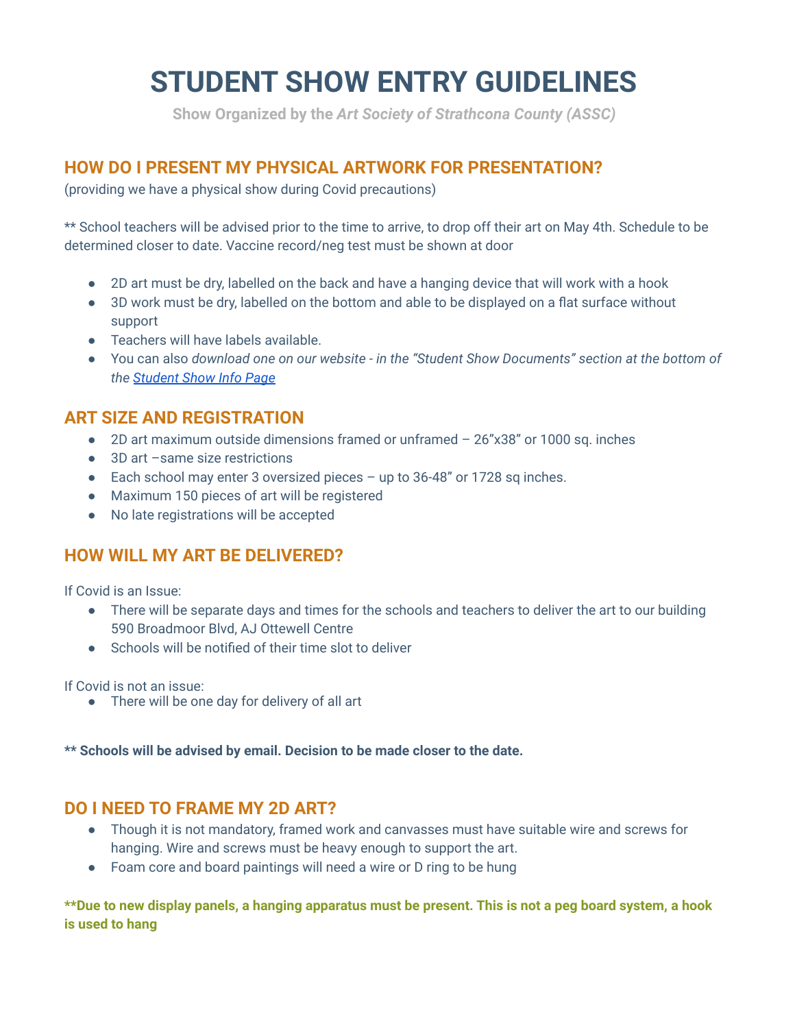# **STUDENT SHOW ENTRY GUIDELINES**

**Show Organized by the** *Art Society of Strathcona County (ASSC)*

## **HOW DO I PRESENT MY PHYSICAL ARTWORK FOR PRESENTATION?**

(providing we have a physical show during Covid precautions)

\*\* School teachers will be advised prior to the time to arrive, to drop off their art on May 4th. Schedule to be determined closer to date. Vaccine record/neg test must be shown at door

- 2D art must be dry, labelled on the back and have a hanging device that will work with a hook
- 3D work must be dry, labelled on the bottom and able to be displayed on a flat surface without support
- Teachers will have labels available.
- You can also *download one on our website in the "Student Show Documents" section at the bottom of the [Student Show Info Page](https://www.artstrathcona.com/Student-Show-Info/)*

#### **ART SIZE AND REGISTRATION**

- 2D art maximum outside dimensions framed or unframed 26"x38" or 1000 sq. inches
- 3D art –same size restrictions
- Each school may enter 3 oversized pieces up to 36-48" or 1728 sq inches.
- Maximum 150 pieces of art will be registered
- No late registrations will be accepted

### **HOW WILL MY ART BE DELIVERED?**

If Covid is an Issue:

- There will be separate days and times for the schools and teachers to deliver the art to our building 590 Broadmoor Blvd, AJ Ottewell Centre
- Schools will be notified of their time slot to deliver

If Covid is not an issue:

● There will be one day for delivery of all art

**\*\* Schools will be advised by email. Decision to be made closer to the date.**

#### **DO I NEED TO FRAME MY 2D ART?**

- Though it is not mandatory, framed work and canvasses must have suitable wire and screws for hanging. Wire and screws must be heavy enough to support the art.
- Foam core and board paintings will need a wire or D ring to be hung

**\*\*Due to new display panels, a hanging apparatus must be present. This is not a peg board system, a hook is used to hang**